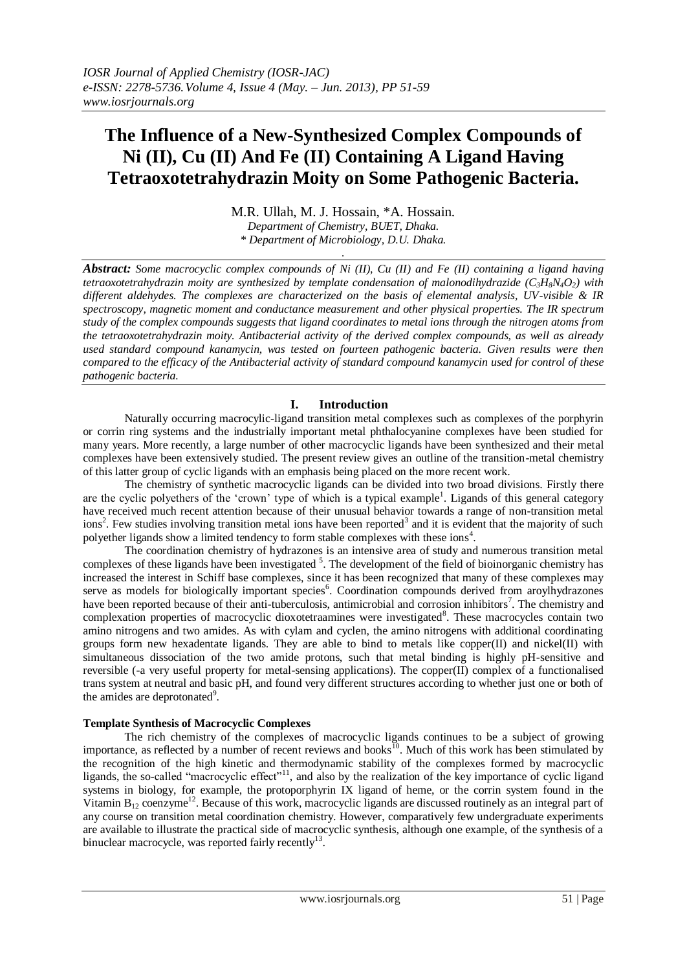# **The Influence of a New-Synthesized Complex Compounds of Ni (II), Cu (II) And Fe (II) Containing A Ligand Having Tetraoxotetrahydrazin Moity on Some Pathogenic Bacteria.**

M.R. Ullah, M. J. Hossain, \*A. Hossain. *Department of Chemistry, BUET, Dhaka.*

*\* Department of Microbiology, D.U. Dhaka. .*

*Abstract: Some macrocyclic complex compounds of Ni (II), Cu (II) and Fe (II) containing a ligand having tetraoxotetrahydrazin moity are synthesized by template condensation of malonodihydrazide (C3H8N4O2) with different aldehydes. The complexes are characterized on the basis of elemental analysis, UV-visible & IR spectroscopy, magnetic moment and conductance measurement and other physical properties. The IR spectrum study of the complex compounds suggests that ligand coordinates to metal ions through the nitrogen atoms from the tetraoxotetrahydrazin moity. Antibacterial activity of the derived complex compounds, as well as already used standard compound kanamycin, was tested on fourteen pathogenic bacteria. Given results were then compared to the efficacy of the Antibacterial activity of standard compound kanamycin used for control of these pathogenic bacteria.*

# **I. Introduction**

Naturally occurring macrocylic-ligand transition metal complexes such as complexes of the porphyrin or corrin ring systems and the industrially important metal phthalocyanine complexes have been studied for many years. More recently, a large number of other macrocyclic ligands have been synthesized and their metal complexes have been extensively studied. The present review gives an outline of the transition-metal chemistry of this latter group of cyclic ligands with an emphasis being placed on the more recent work.

The chemistry of synthetic macrocyclic ligands can be divided into two broad divisions. Firstly there are the cyclic polyethers of the 'crown' type of which is a typical example<sup>1</sup>. Ligands of this general category have received much recent attention because of their unusual behavior towards a range of non-transition metal  $\text{ions}^2$ . Few studies involving transition metal ions have been reported<sup>3</sup> and it is evident that the majority of such polyether ligands show a limited tendency to form stable complexes with these ions<sup>4</sup>.

The coordination chemistry of hydrazones is an intensive area of study and numerous transition metal complexes of these ligands have been investigated <sup>5</sup>. The development of the field of bioinorganic chemistry has increased the interest in Schiff base complexes, since it has been recognized that many of these complexes may serve as models for biologically important species<sup>6</sup>. Coordination compounds derived from aroylhydrazones have been reported because of their anti-tuberculosis, antimicrobial and corrosion inhibitors<sup>7</sup>. The chemistry and complexation properties of macrocyclic dioxotetraamines were investigated<sup>8</sup>. These macrocycles contain two amino nitrogens and two amides. As with cylam and cyclen, the amino nitrogens with additional coordinating groups form new hexadentate ligands. They are able to bind to metals like copper(II) and nickel(II) with simultaneous dissociation of the two amide protons, such that metal binding is highly pH-sensitive and reversible (-a very useful property for metal-sensing applications). The copper $(II)$  complex of a functionalised trans system at neutral and basic pH, and found very different structures according to whether just one or both of the amides are deprotonated<sup>9</sup>.

# **Template Synthesis of Macrocyclic Complexes**

The rich chemistry of the complexes of macrocyclic ligands continues to be a subject of growing importance, as reflected by a number of recent reviews and books<sup>10</sup>. Much of this work has been stimulated by the recognition of the high kinetic and thermodynamic stability of the complexes formed by macrocyclic ligands, the so-called "macrocyclic effect"<sup>11</sup>, and also by the realization of the key importance of cyclic ligand systems in biology, for example, the protoporphyrin IX ligand of heme, or the corrin system found in the Vitamin  $B_{12}$  coenzyme<sup>12</sup>. Because of this work, macrocyclic ligands are discussed routinely as an integral part of any course on transition metal coordination chemistry. However, comparatively few undergraduate experiments are available to illustrate the practical side of macrocyclic synthesis, although one example, of the synthesis of a binuclear macrocycle, was reported fairly recently<sup>13</sup>.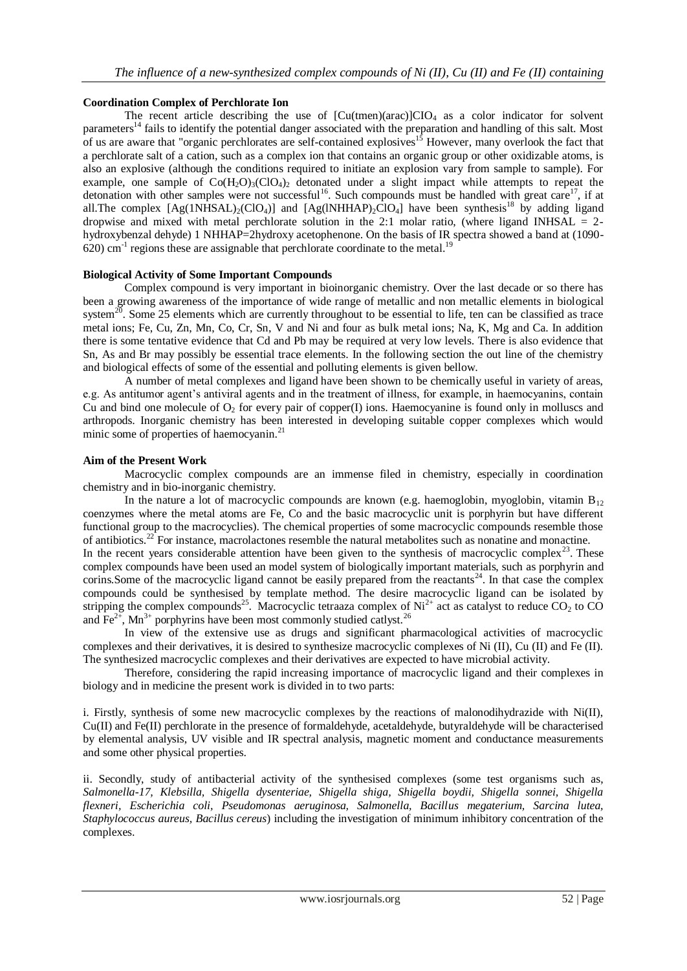### **Coordination Complex of Perchlorate Ion**

The recent article describing the use of  $\left[\text{Cu(tmen)(arac)}\right]\text{ClO}_4$  as a color indicator for solvent parameters<sup>14</sup> fails to identify the potential danger associated with the preparation and handling of this salt. Most of us are aware that "organic perchlorates are self-contained explosives<sup>15</sup> However, many overlook the fact that a perchlorate salt of a cation, such as a complex ion that contains an organic group or other oxidizable atoms, is also an explosive (although the conditions required to initiate an explosion vary from sample to sample). For example, one sample of  $\text{Co}(H_2O)_3(\text{Cl}O_4)$  detonated under a slight impact while attempts to repeat the detonation with other samples were not successful<sup>16</sup>. Such compounds must be handled with great care<sup>17</sup>, if at all. The complex  $[Ag(1NHSAL)_2(CIO_4)]$  and  $[Ag(1NHHAP)_2ClO_4]$  have been synthesis<sup>18</sup> by adding ligand dropwise and mixed with metal perchlorate solution in the 2:1 molar ratio, (where ligand INHSAL  $= 2$ hydroxybenzal dehyde) 1 NHHAP=2hydroxy acetophenone. On the basis of IR spectra showed a band at (1090- $620$ ) cm<sup>-1</sup> regions these are assignable that perchlorate coordinate to the metal.<sup>19</sup>

#### **Biological Activity of Some Important Compounds**

Complex compound is very important in bioinorganic chemistry. Over the last decade or so there has been a growing awareness of the importance of wide range of metallic and non metallic elements in biological system<sup>20</sup>. Some 25 elements which are currently throughout to be essential to life, ten can be classified as trace metal ions; Fe, Cu, Zn, Mn, Co, Cr, Sn, V and Ni and four as bulk metal ions; Na, K, Mg and Ca. In addition there is some tentative evidence that Cd and Pb may be required at very low levels. There is also evidence that Sn, As and Br may possibly be essential trace elements. In the following section the out line of the chemistry and biological effects of some of the essential and polluting elements is given bellow.

A number of metal complexes and ligand have been shown to be chemically useful in variety of areas, e.g. As antitumor agent's antiviral agents and in the treatment of illness, for example, in haemocyanins, contain Cu and bind one molecule of  $O_2$  for every pair of copper(I) ions. Haemocyanine is found only in molluscs and arthropods. Inorganic chemistry has been interested in developing suitable copper complexes which would minic some of properties of haemocyanin.<sup>21</sup>

#### **Aim of the Present Work**

Macrocyclic complex compounds are an immense filed in chemistry, especially in coordination chemistry and in bio-inorganic chemistry.

In the nature a lot of macrocyclic compounds are known (e.g. haemoglobin, myoglobin, vitamin  $B_{12}$ ) coenzymes where the metal atoms are Fe, Co and the basic macrocyclic unit is porphyrin but have different functional group to the macrocyclies). The chemical properties of some macrocyclic compounds resemble those of antibiotics.<sup>22</sup> For instance, macrolactones resemble the natural metabolites such as nonatine and monactine. In the recent years considerable attention have been given to the synthesis of macrocyclic complex<sup>23</sup>. These complex compounds have been used an model system of biologically important materials, such as porphyrin and corins. Some of the macrocyclic ligand cannot be easily prepared from the reactants<sup>24</sup>. In that case the complex compounds could be synthesised by template method. The desire macrocyclic ligand can be isolated by stripping the complex compounds<sup>25</sup>. Macrocyclic tetraaza complex of Ni<sup>2+</sup> act as catalyst to reduce CO<sub>2</sub> to CO and Fe<sup>2+</sup>, Mn<sup>3+</sup> porphyrins have been most commonly studied catlyst.<sup>26</sup>

In view of the extensive use as drugs and significant pharmacological activities of macrocyclic complexes and their derivatives, it is desired to synthesize macrocyclic complexes of Ni (II), Cu (II) and Fe (II). The synthesized macrocyclic complexes and their derivatives are expected to have microbial activity.

Therefore, considering the rapid increasing importance of macrocyclic ligand and their complexes in biology and in medicine the present work is divided in to two parts:

i. Firstly, synthesis of some new macrocyclic complexes by the reactions of malonodihydrazide with Ni(II), Cu(II) and Fe(II) perchlorate in the presence of formaldehyde, acetaldehyde, butyraldehyde will be characterised by elemental analysis, UV visible and IR spectral analysis, magnetic moment and conductance measurements and some other physical properties.

ii. Secondly, study of antibacterial activity of the synthesised complexes (some test organisms such as, *Salmonella-17, Klebsilla, Shigella dysenteriae, Shigella shiga, Shigella boydii, Shigella sonnei, Shigella flexneri, Escherichia coli, Pseudomonas aeruginosa, Salmonella, Bacillus megaterium, Sarcina lutea, Staphylococcus aureus, Bacillus cereus*) including the investigation of minimum inhibitory concentration of the complexes.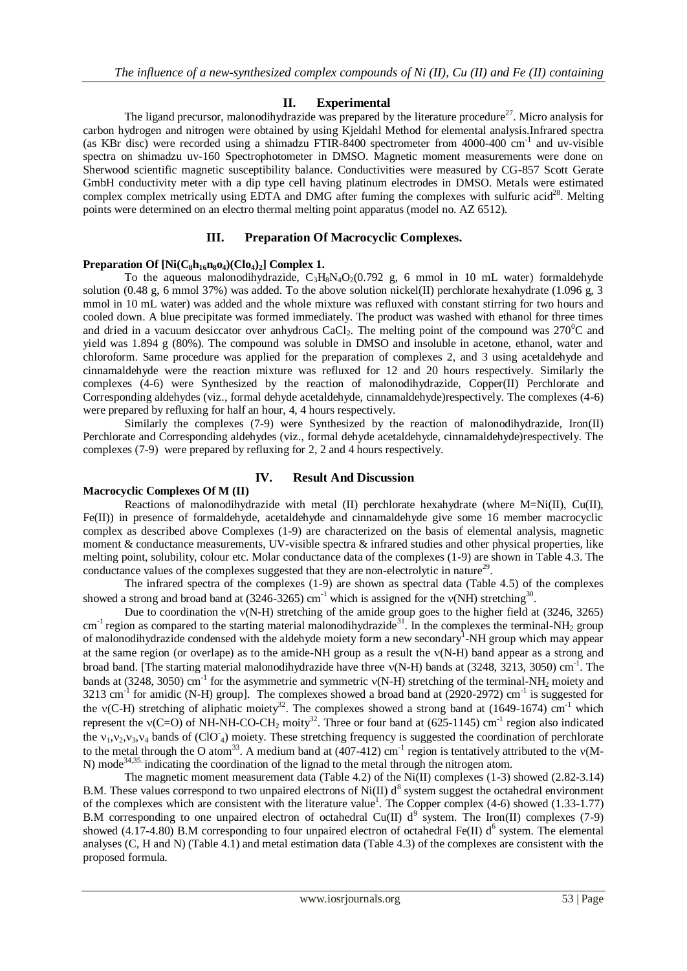## **II. Experimental**

The ligand precursor, malonodihydrazide was prepared by the literature procedure<sup>27</sup>. Micro analysis for carbon hydrogen and nitrogen were obtained by using Kjeldahl Method for elemental analysis.Infrared spectra (as KBr disc) were recorded using a shimadzu FTIR-8400 spectrometer from 4000-400 cm-1 and uv-visible spectra on shimadzu uv-160 Spectrophotometer in DMSO. Magnetic moment measurements were done on Sherwood scientific magnetic susceptibility balance. Conductivities were measured by CG-857 Scott Gerate GmbH conductivity meter with a dip type cell having platinum electrodes in DMSO. Metals were estimated complex complex metrically using EDTA and DMG after fuming the complexes with sulfuric acid<sup>28</sup>. Melting points were determined on an electro thermal melting point apparatus (model no. AZ 6512).

#### **III. Preparation Of Macrocyclic Complexes.**

#### **Preparation Of**  $[Ni(C_8h_{16}n_8o_4)(Clo_4)_2]$  **Complex 1.**

To the aqueous malonodihydrazide,  $C_3H_8N_4O_2(0.792 \text{ g}, 6 \text{ mmol in } 10 \text{ mL water})$  formaldehyde solution (0.48 g, 6 mmol 37%) was added. To the above solution nickel(II) perchlorate hexahydrate (1.096 g, 3 mmol in 10 mL water) was added and the whole mixture was refluxed with constant stirring for two hours and cooled down. A blue precipitate was formed immediately. The product was washed with ethanol for three times and dried in a vacuum desiccator over anhydrous CaCl<sub>2</sub>. The melting point of the compound was  $270^{\circ}$ C and yield was 1.894 g (80%). The compound was soluble in DMSO and insoluble in acetone, ethanol, water and chloroform. Same procedure was applied for the preparation of complexes 2, and 3 using acetaldehyde and cinnamaldehyde were the reaction mixture was refluxed for 12 and 20 hours respectively. Similarly the complexes (4-6) were Synthesized by the reaction of malonodihydrazide, Copper(II) Perchlorate and Corresponding aldehydes (viz., formal dehyde acetaldehyde, cinnamaldehyde)respectively. The complexes (4-6) were prepared by refluxing for half an hour, 4, 4 hours respectively.

Similarly the complexes (7-9) were Synthesized by the reaction of malonodihydrazide, Iron(II) Perchlorate and Corresponding aldehydes (viz., formal dehyde acetaldehyde, cinnamaldehyde)respectively. The complexes (7-9) were prepared by refluxing for 2, 2 and 4 hours respectively.

# **Macrocyclic Complexes Of M (II)**

# **IV. Result And Discussion**

Reactions of malonodihydrazide with metal (II) perchlorate hexahydrate (where  $M=Ni(II)$ , Cu(II), Fe(II)) in presence of formaldehyde, acetaldehyde and cinnamaldehyde give some 16 member macrocyclic complex as described above Complexes (1-9) are characterized on the basis of elemental analysis, magnetic moment  $\&$  conductance measurements, UV-visible spectra  $\&$  infrared studies and other physical properties, like melting point, solubility, colour etc. Molar conductance data of the complexes (1-9) are shown in Table 4.3. The conductance values of the complexes suggested that they are non-electrolytic in nature<sup>29</sup>.

The infrared spectra of the complexes (1-9) are shown as spectral data (Table 4.5) of the complexes showed a strong and broad band at  $(3246-3265)$  cm<sup>-1</sup> which is assigned for the  $v(NH)$  stretching<sup>30</sup>.

Due to coordination the  $v(N-H)$  stretching of the amide group goes to the higher field at (3246, 3265)  $cm^{-1}$  region as compared to the starting material malonodihydrazide<sup>31</sup>. In the complexes the terminal-NH<sub>2</sub> group of malonodihydrazide condensed with the aldehyde moiety form a new secondary<sup>1</sup>-NH group which may appear at the same region (or overlape) as to the amide-NH group as a result the  $v(N-H)$  band appear as a strong and broad band. [The starting material malonodihydrazide have three  $v(N-H)$  bands at (3248, 3213, 3050) cm<sup>-1</sup>. The bands at (3248, 3050) cm<sup>-1</sup> for the asymmetrie and symmetric  $v(N-H)$  stretching of the terminal-NH<sub>2</sub> moiety and 3213 cm<sup>-1</sup> for amidic (N-H) group]. The complexes showed a broad band at  $(2920-2972)$  cm<sup>-1</sup> is suggested for the  $v(C-H)$  stretching of aliphatic moiety<sup>32</sup>. The complexes showed a strong band at (1649-1674) cm<sup>-1</sup> which represent the  $v(C=O)$  of NH-NH-CO-CH<sub>2</sub> moity<sup>32</sup>. Three or four band at (625-1145) cm<sup>-1</sup> region also indicated the  $v_1, v_2, v_3, v_4$  bands of (ClO<sub>4</sub>) moiety. These stretching frequency is suggested the coordination of perchlorate to the metal through the O atom<sup>33</sup>. A medium band at (407-412) cm<sup>-1</sup> region is tentatively attributed to the v(M-N) mode<sup>34,35.</sup> indicating the coordination of the lignad to the metal through the nitrogen atom.

The magnetic moment measurement data (Table 4.2) of the Ni(II) complexes (1-3) showed (2.82-3.14) B.M. These values correspond to two unpaired electrons of Ni(II)  $d^8$  system suggest the octahedral environment of the complexes which are consistent with the literature value<sup>1</sup>. The Copper complex (4-6) showed (1.33-1.77) B.M corresponding to one unpaired electron of octahedral Cu(II)  $d^{9}$  system. The Iron(II) complexes (7-9) showed (4.17-4.80) B.M corresponding to four unpaired electron of octahedral Fe(II)  $d^6$  system. The elemental analyses (C, H and N) (Table 4.1) and metal estimation data (Table 4.3) of the complexes are consistent with the proposed formula.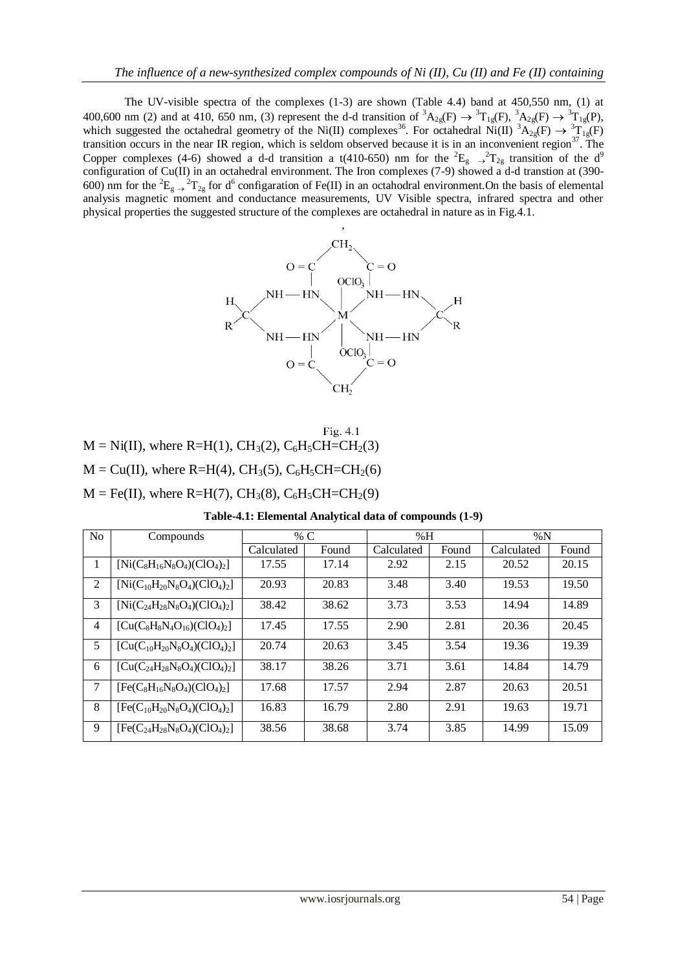The UV-visible spectra of the complexes (1-3) are shown (Table 4.4) band at 450,550 nm, (1) at 400,600 nm (2) and at 410, 650 nm, (3) represent the d-d transition of  ${}^3A_{2g}(F) \rightarrow {}^3T_{1g}(F)$ ,  ${}^3A_{2g}(F) \rightarrow {}^3T_{1g}(P)$ , which suggested the octahedral geometry of the Ni(II) complexes<sup>36</sup>. For octahedral Ni(II)  ${}^{3}A_{2g}(F) \rightarrow {}^{3}T_{1g}(F)$ transition occurs in the near IR region, which is seldom observed because it is in an inconvenient region<sup>37</sup>. The Copper complexes (4-6) showed a d-d transition a t(410-650) nm for the  ${}^{2}E_{g} \rightarrow {}^{2}T_{2g}$  transition of the d<sup>9</sup> configuration of Cu(II) in an octahedral environment. The Iron complexes (7-9) showed a d-d transtion at (390-600) nm for the <sup>2</sup>E<sub>g</sub>  $\rightarrow$  <sup>2</sup>T<sub>2g</sub> for d<sup>6</sup> configaration of Fe(II) in an octahodral environment. On the basis of elemental analysis magnetic moment and conductance measurements, UV Visible spectra, infrared spectra and other physical properties the suggested structure of the complexes are octahedral in nature as in Fig.4.1.



|                                                                                                        | Fig. $4.1$ |
|--------------------------------------------------------------------------------------------------------|------------|
| $M = Ni(II)$ , where R=H(1), CH <sub>3</sub> (2), C <sub>6</sub> H <sub>5</sub> CH=CH <sub>2</sub> (3) |            |
| $M = Cu(II)$ , where R=H(4), CH <sub>3</sub> (5), C <sub>6</sub> H <sub>5</sub> CH=CH <sub>2</sub> (6) |            |
| $M = Fe(II)$ , where R=H(7), CH <sub>3</sub> (8), C <sub>6</sub> H <sub>5</sub> CH=CH <sub>2</sub> (9) |            |

**Table-4.1: Elemental Analytical data of compounds (1-9)**

| N <sub>o</sub> | Compounds                           |            | % $\rm{C}$ | %H         |       | $\%N$      |       |
|----------------|-------------------------------------|------------|------------|------------|-------|------------|-------|
|                |                                     | Calculated | Found      | Calculated | Found | Calculated | Found |
|                | $[Ni(C_8H_{16}N_8O_4)(ClO_4)_2]$    | 17.55      | 17.14      | 2.92       | 2.15  | 20.52      | 20.15 |
| 2              | $[Ni(C_{10}H_{20}N_8O_4)(ClO_4)_2]$ | 20.93      | 20.83      | 3.48       | 3.40  | 19.53      | 19.50 |
| 3              | $[Ni(C_{24}H_{28}N_8O_4)(ClO_4)_2]$ | 38.42      | 38.62      | 3.73       | 3.53  | 14.94      | 14.89 |
| 4              | $[Cu(C_8H_8N_4O_{16})(ClO_4)_2]$    | 17.45      | 17.55      | 2.90       | 2.81  | 20.36      | 20.45 |
| 5              | $[Cu(C_{10}H_{20}N_8O_4)(ClO_4)_2]$ | 20.74      | 20.63      | 3.45       | 3.54  | 19.36      | 19.39 |
| 6              | $[Cu(C24H28N8O4)(ClO4)2]$           | 38.17      | 38.26      | 3.71       | 3.61  | 14.84      | 14.79 |
| 7              | $[Fe(C_8H_{16}N_8O_4)(ClO_4)_2]$    | 17.68      | 17.57      | 2.94       | 2.87  | 20.63      | 20.51 |
| 8              | $[Fe(C_{10}H_{20}N_8O_4)(ClO_4)_2]$ | 16.83      | 16.79      | 2.80       | 2.91  | 19.63      | 19.71 |
| 9              | $[Fe(C_{24}H_{28}N_8O_4)(ClO_4)_2]$ | 38.56      | 38.68      | 3.74       | 3.85  | 14.99      | 15.09 |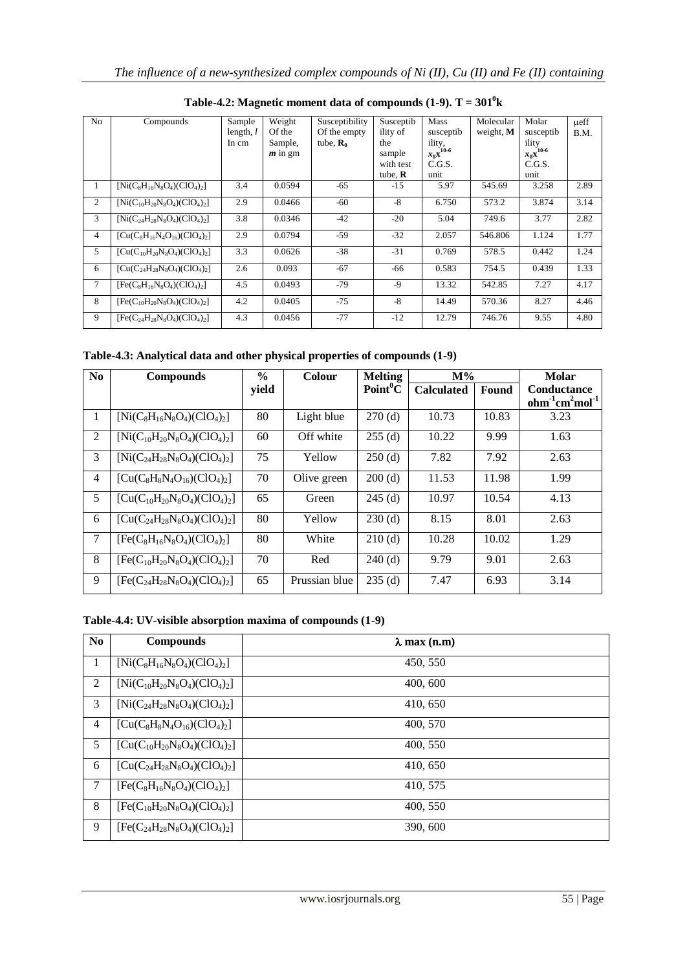| N <sub>0</sub> | Compounds                           | Sample      | Weight    | Susceptibility       | Susceptib      | Mass          | Molecular | Molar                   | ueff |
|----------------|-------------------------------------|-------------|-----------|----------------------|----------------|---------------|-----------|-------------------------|------|
|                |                                     | length, $l$ | Of the    | Of the empty         | ility of       | susceptib     | weight, M | susceptib               | B.M. |
|                |                                     | In cm       | Sample,   | tube, $\mathbf{R}_0$ | the            | ility,        |           | ility                   |      |
|                |                                     |             | $m$ in gm |                      | sample         | $x_gx^{10-6}$ |           | $x_g$ x <sup>10-6</sup> |      |
|                |                                     |             |           |                      | with test      | C.G.S.        |           | C.G.S.                  |      |
|                |                                     |             |           |                      | tube, $\bf{R}$ | unit          |           | unit                    |      |
| 1              | $[Ni(C_8H_{16}N_8O_4)(ClO_4)_2]$    | 3.4         | 0.0594    | $-65$                | $-15$          | 5.97          | 545.69    | 3.258                   | 2.89 |
| $\overline{c}$ | $[Ni(C_{10}H_{20}N_8O_4)(ClO_4)_2]$ | 2.9         | 0.0466    | $-60$                | $-8$           | 6.750         | 573.2     | 3.874                   | 3.14 |
| 3              | $[Ni(C24H28N8O4)(ClO4)2]$           | 3.8         | 0.0346    | $-42$                | $-20$          | 5.04          | 749.6     | 3.77                    | 2.82 |
| $\overline{4}$ | $[Cu(C_8H_{16}N_4O_{16})(ClO_4)_2]$ | 2.9         | 0.0794    | $-59$                | $-32$          | 2.057         | 546.806   | 1.124                   | 1.77 |
| 5              | $[Cu(C_{10}H_{20}N_8O_4)(ClO_4)_2]$ | 3.3         | 0.0626    | $-38$                | $-31$          | 0.769         | 578.5     | 0.442                   | 1.24 |
| 6              | $[Cu(C_{24}H_{28}N_8O_4)(ClO_4)_2]$ | 2.6         | 0.093     | $-67$                | $-66$          | 0.583         | 754.5     | 0.439                   | 1.33 |
| 7              | $[Fe(C_8H_{16}N_8O_4)(ClO_4)_2]$    | 4.5         | 0.0493    | $-79$                | $-9$           | 13.32         | 542.85    | 7.27                    | 4.17 |
| 8              | $[Fe(C_{10}H_{20}N_8O_4)(ClO_4)_2]$ | 4.2         | 0.0405    | $-75$                | $-8$           | 14.49         | 570.36    | 8.27                    | 4.46 |
| 9              | $[Fe(C24H28N8O4)(ClO4)2]$           | 4.3         | 0.0456    | $-77$                | $-12$          | 12.79         | 746.76    | 9.55                    | 4.80 |

**Table-4.2:** Magnetic moment data of compounds  $(1-9)$ . T =  $301^0$ k

**Table-4.3: Analytical data and other physical properties of compounds (1-9)**

| N <sub>0</sub> | <b>Compounds</b>                    | $\frac{0}{0}$ | <b>Colour</b> | <b>Melting</b>       | $M\%$             |              | <b>Molar</b>                        |
|----------------|-------------------------------------|---------------|---------------|----------------------|-------------------|--------------|-------------------------------------|
|                |                                     | yield         |               | Point <sup>0</sup> C | <b>Calculated</b> | <b>Found</b> | <b>Conductance</b><br>$ohm1cm2mol1$ |
| 1              | $[Ni(C_8H_{16}N_8O_4)(ClO_4)_2]$    | 80            | Light blue    | 270(d)               | 10.73             | 10.83        | 3.23                                |
| 2              | $[Ni(C_{10}H_{20}N_8O_4)(ClO_4)_2]$ | 60            | Off white     | 255(d)               | 10.22             | 9.99         | 1.63                                |
| 3              | $[Ni(C_{24}H_{28}N_8O_4)(ClO_4)_2]$ | 75            | Yellow        | 250(d)               | 7.82              | 7.92         | 2.63                                |
| 4              | $[Cu(C_8H_8N_4O_{16})(ClO_4)_2]$    | 70            | Olive green   | 200(d)               | 11.53             | 11.98        | 1.99                                |
| 5              | $[Cu(C_{10}H_{20}N_8O_4)(ClO_4)_2]$ | 65            | Green         | $245$ (d)            | 10.97             | 10.54        | 4.13                                |
| 6              | $[Cu(C24H28N8O4)(ClO4)2]$           | 80            | Yellow        | 230(d)               | 8.15              | 8.01         | 2.63                                |
| 7              | $[Fe(C_8H_{16}N_8O_4)(ClO_4)_2]$    | 80            | White         | 210(d)               | 10.28             | 10.02        | 1.29                                |
| 8              | $[Fe(C_{10}H_{20}N_8O_4)(ClO_4)_2]$ | 70            | Red           | $240$ (d)            | 9.79              | 9.01         | 2.63                                |
| 9              | $[Fe(C_{24}H_{28}N_8O_4)(ClO_4)_2]$ | 65            | Prussian blue | 235(d)               | 7.47              | 6.93         | 3.14                                |

**Table-4.4: UV-visible absorption maxima of compounds (1-9)**

| N <sub>0</sub> | <b>Compounds</b>                    | $\lambda$ max (n.m) |
|----------------|-------------------------------------|---------------------|
| 1              | $[Ni(C_8H_{16}N_8O_4)(ClO_4)_2]$    | 450, 550            |
| 2              | $[Ni(C_{10}H_{20}N_8O_4)(ClO_4)_2]$ | 400, 600            |
| 3              | $[Ni(C_{24}H_{28}N_8O_4)(ClO_4)_2]$ | 410, 650            |
| $\overline{4}$ | $[Cu(C_8H_8N_4O_{16})(ClO_4)_2]$    | 400, 570            |
| 5              | $[Cu(C_{10}H_{20}N_8O_4)(ClO_4)_2]$ | 400, 550            |
| 6              | $[Cu(C_{24}H_{28}N_8O_4)(ClO_4)_2]$ | 410, 650            |
| 7              | $[Fe(C_8H_{16}N_8O_4)(ClO_4)_2]$    | 410, 575            |
| $8\,$          | $[Fe(C_{10}H_{20}N_8O_4)(ClO_4)_2]$ | 400, 550            |
| 9              | $[Fe(C_{24}H_{28}N_8O_4)(ClO_4)_2]$ | 390, 600            |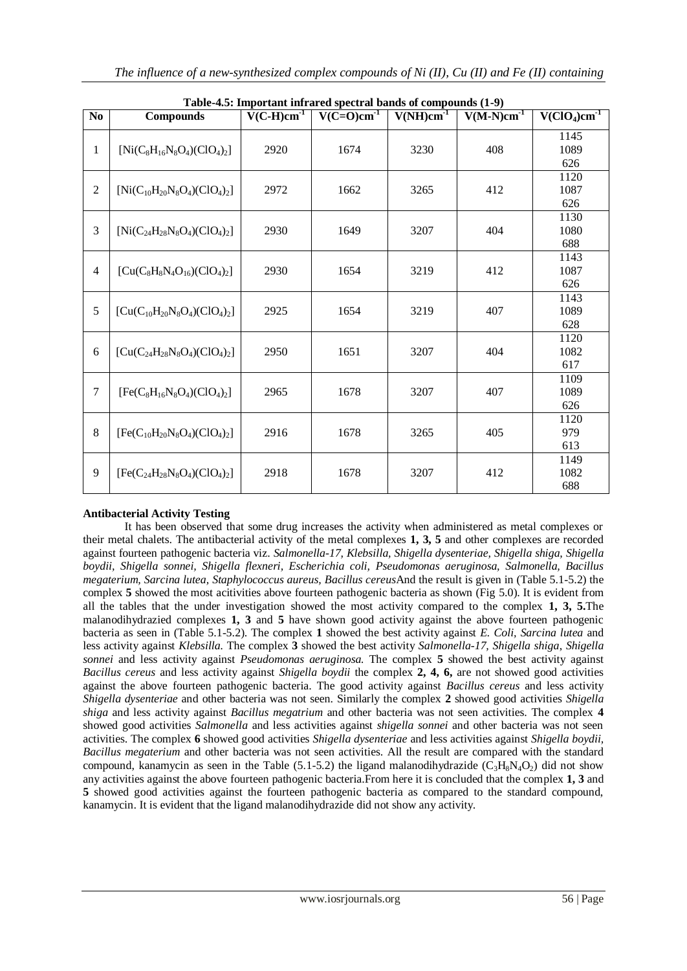| N <sub>0</sub> | <b>Compounds</b>                    | $V(C-H)cm-1$         | Table-4.5. Important limitated specular bands of compounds (1-9)<br>$V(\overline{C=O})cm^{-1}$ | $V(NH)cm^{-1}$ | $V(M-N)cm-1$ | $V(\overline{ClO_4})cm^{-1}$ |
|----------------|-------------------------------------|----------------------|------------------------------------------------------------------------------------------------|----------------|--------------|------------------------------|
|                |                                     |                      |                                                                                                |                |              | 1145                         |
| 1              | $[Ni(C_8H_{16}N_8O_4)(ClO_4)_2]$    | 2920                 | 1674                                                                                           | 3230           | 408          | 1089                         |
|                |                                     |                      |                                                                                                |                |              | 626                          |
|                |                                     |                      |                                                                                                |                |              | 1120                         |
| $\overline{2}$ | $[Ni(C_{10}H_{20}N_8O_4)(ClO_4)_2]$ | 2972                 | 1662                                                                                           | 3265           | 412          | 1087                         |
|                |                                     |                      |                                                                                                |                |              | 626                          |
|                |                                     |                      |                                                                                                |                |              | 1130                         |
| 3              | $[Ni(C_{24}H_{28}N_8O_4)(ClO_4)_2]$ | 2930                 | 1649                                                                                           | 3207           | 404          | 1080                         |
|                |                                     |                      |                                                                                                |                |              | 688                          |
|                |                                     |                      |                                                                                                |                |              | 1143                         |
| $\overline{4}$ | $[Cu(C_8H_8N_4O_{16})(ClO_4)_2]$    | 1654<br>3219<br>2930 |                                                                                                |                | 412          | 1087                         |
|                |                                     |                      |                                                                                                |                |              | 626                          |
|                |                                     |                      |                                                                                                |                |              | 1143                         |
| 5              | $[Cu(C_{10}H_{20}N_8O_4)(ClO_4)_2]$ | 2925                 | 1654                                                                                           | 3219           | 407          | 1089                         |
|                |                                     |                      |                                                                                                |                |              | 628                          |
|                |                                     |                      |                                                                                                |                |              | 1120                         |
| 6              | $[Cu(C24H28N8O4)(ClO4)2]$           | 2950                 | 1651                                                                                           | 3207           | 404          | 1082<br>617                  |
|                |                                     |                      |                                                                                                |                |              |                              |
| 7              |                                     |                      |                                                                                                |                |              | 1109                         |
|                | $[Fe(C_8H_{16}N_8O_4)(ClO_4)_2]$    | 2965                 | 1678                                                                                           | 3207           | 407          | 1089<br>626                  |
|                |                                     |                      |                                                                                                |                |              | 1120                         |
| 8              | $[Fe(C_{10}H_{20}N_8O_4)(ClO_4)_2]$ | 2916                 | 1678                                                                                           | 3265           | 405          | 979                          |
|                |                                     |                      |                                                                                                |                |              | 613                          |
|                |                                     |                      |                                                                                                |                |              | 1149                         |
| 9              | $[Fe(C_{24}H_{28}N_8O_4)(ClO_4)_2]$ | 2918                 | 1678                                                                                           | 3207           | 412          | 1082                         |
|                |                                     |                      |                                                                                                |                |              | 688                          |
|                |                                     |                      |                                                                                                |                |              |                              |

| Table-4.5: Important infrared spectral bands of compounds (1-9) |
|-----------------------------------------------------------------|
|-----------------------------------------------------------------|

# **Antibacterial Activity Testing**

It has been observed that some drug increases the activity when administered as metal complexes or their metal chalets. The antibacterial activity of the metal complexes **1, 3, 5** and other complexes are recorded against fourteen pathogenic bacteria viz. *Salmonella-17, Klebsilla, Shigella dysenteriae, Shigella shiga, Shigella boydii, Shigella sonnei, Shigella flexneri, Escherichia coli, Pseudomonas aeruginosa, Salmonella, Bacillus megaterium, Sarcina lutea, Staphylococcus aureus, Bacillus cereus*And the result is given in (Table 5.1-5.2) the complex **5** showed the most acitivities above fourteen pathogenic bacteria as shown (Fig 5.0). It is evident from all the tables that the under investigation showed the most activity compared to the complex **1, 3, 5.**The malanodihydrazied complexes **1, 3** and **5** have shown good activity against the above fourteen pathogenic bacteria as seen in (Table 5.1-5.2). The complex **1** showed the best activity against *E. Coli, Sarcina lutea* and less activity against *Klebsilla.* The complex **3** showed the best activity *Salmonella-17, Shigella shiga*, *Shigella sonnei* and less activity against *Pseudomonas aeruginosa.* The complex **5** showed the best activity against *Bacillus cereus* and less activity against *Shigella boydii* the complex **2, 4, 6,** are not showed good activities against the above fourteen pathogenic bacteria. The good activity against *Bacillus cereus* and less activity *Shigella dysenteriae* and other bacteria was not seen. Similarly the complex **2** showed good activities *Shigella shiga* and less activity against *Bacillus megatrium* and other bacteria was not seen activities. The complex **4** showed good activities *Salmonella* and less activities against *shigella sonnei* and other bacteria was not seen activities. The complex **6** showed good activities *Shigella dysenteriae* and less activities against *Shigella boydii, Bacillus megaterium* and other bacteria was not seen activities. All the result are compared with the standard compound, kanamycin as seen in the Table (5.1-5.2) the ligand malanodihydrazide ( $C_3H_8N_4O_2$ ) did not show any activities against the above fourteen pathogenic bacteria.From here it is concluded that the complex **1, 3** and **5** showed good activities against the fourteen pathogenic bacteria as compared to the standard compound, kanamycin. It is evident that the ligand malanodihydrazide did not show any activity.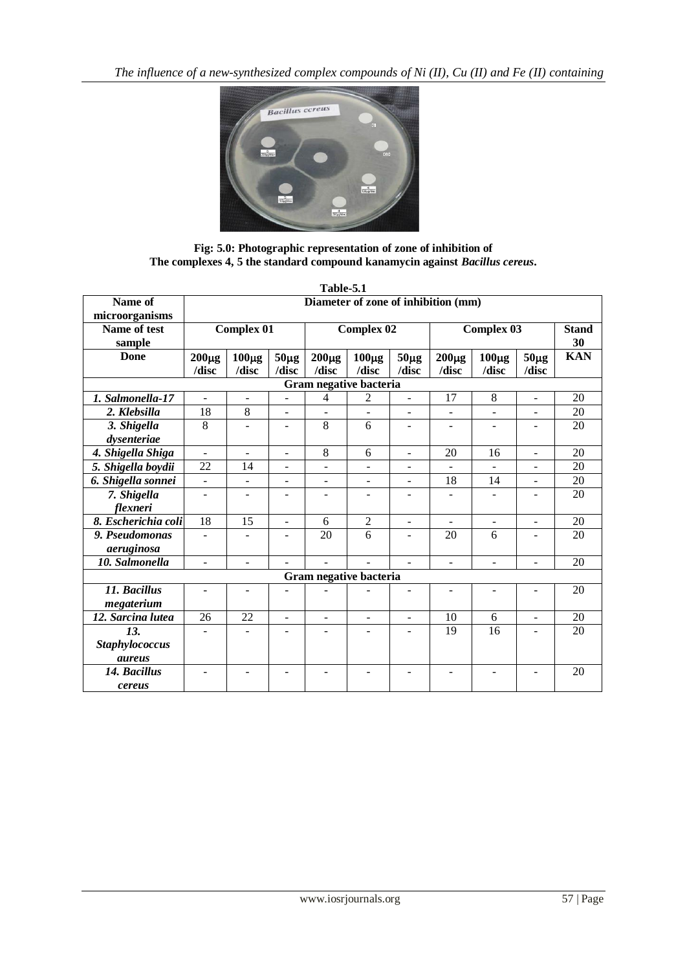

**Fig: 5.0: Photographic representation of zone of inhibition of The complexes 4, 5 the standard compound kanamycin against** *Bacillus cereus***.**

|                           |                                     |                     |                          | Table-5.1                |                          |                          |                          |                          |                          |                    |
|---------------------------|-------------------------------------|---------------------|--------------------------|--------------------------|--------------------------|--------------------------|--------------------------|--------------------------|--------------------------|--------------------|
| Name of<br>microorganisms | Diameter of zone of inhibition (mm) |                     |                          |                          |                          |                          |                          |                          |                          |                    |
| Name of test              |                                     | Complex $01$        |                          |                          | <b>Complex 02</b>        |                          |                          | <b>Complex 03</b>        |                          | <b>Stand</b><br>30 |
| sample                    |                                     |                     |                          |                          |                          |                          |                          |                          |                          |                    |
| Done                      | $200\mu g$<br>/disc                 | $100\mu g$<br>/disc | $50\mu g$<br>/disc       | $200\mu g$<br>/disc      | $100\mu g$<br>/disc      | $50\mu g$<br>/disc       | $200\mu g$<br>/disc      | $100\mu g$<br>/disc      | $50\mu g$<br>/disc       | <b>KAN</b>         |
|                           |                                     |                     |                          |                          | Gram negative bacteria   |                          |                          |                          |                          |                    |
| 1. Salmonella-17          |                                     |                     |                          | 4                        | $\overline{c}$           | $\overline{a}$           | 17                       | 8                        | $\overline{a}$           | 20                 |
| 2. Klebsilla              | 18                                  | 8                   | $\overline{a}$           | $\blacksquare$           | $\overline{a}$           | $\blacksquare$           | $\blacksquare$           | $\overline{a}$           | $\overline{a}$           | 20                 |
| 3. Shigella               | 8                                   |                     |                          | $\overline{8}$           | 6                        | ÷                        | $\overline{\phantom{0}}$ | $\overline{\phantom{a}}$ |                          | 20                 |
| dysenteriae               |                                     |                     |                          |                          |                          |                          |                          |                          |                          |                    |
| 4. Shigella Shiga         | $\overline{a}$                      |                     | L.                       | 8                        | 6                        | $\overline{a}$           | 20                       | 16                       | $\overline{a}$           | 20                 |
| 5. Shigella boydii        | 22                                  | 14                  | $\overline{a}$           | $\overline{a}$           | $\overline{a}$           | $\overline{a}$           |                          |                          | ÷,                       | 20                 |
| 6. Shigella sonnei        |                                     |                     | $\overline{\phantom{m}}$ | $\overline{\phantom{a}}$ | $\overline{a}$           | $\overline{\phantom{a}}$ | 18                       | 14                       | $\overline{a}$           | 20                 |
| 7. Shigella               | ٠                                   |                     | $\blacksquare$           | ٠                        | $\overline{\phantom{a}}$ | $\overline{a}$           |                          | ٠                        |                          | 20                 |
| flexneri                  |                                     |                     |                          |                          |                          |                          |                          |                          |                          |                    |
| 8. Escherichia coli       | 18                                  | 15                  | $\overline{a}$           | 6                        | $\overline{2}$           | $\overline{a}$           |                          | $\blacksquare$           | $\overline{a}$           | 20                 |
| 9. Pseudomonas            |                                     |                     |                          | 20                       | 6                        |                          | 20                       | 6                        |                          | 20                 |
| aeruginosa                |                                     |                     |                          |                          |                          |                          |                          |                          |                          |                    |
| 10. Salmonella            |                                     |                     |                          |                          |                          |                          | ÷                        | ÷.                       | L.                       | 20                 |
| Gram negative bacteria    |                                     |                     |                          |                          |                          |                          |                          |                          |                          |                    |
| 11. Bacillus              | $\overline{a}$                      | $\overline{a}$      |                          |                          |                          |                          |                          | $\overline{\phantom{a}}$ | ٠                        | 20                 |
| megaterium                |                                     |                     |                          |                          |                          |                          |                          |                          |                          |                    |
| 12. Sarcina lutea         | 26                                  | 22                  | $\blacksquare$           | $\blacksquare$           | $\overline{a}$           | $\blacksquare$           | 10                       | 6                        | $\overline{\phantom{a}}$ | 20                 |
| 13.                       |                                     |                     |                          |                          |                          |                          | 19                       | 16                       |                          | 20                 |
| <b>Staphylococcus</b>     |                                     |                     |                          |                          |                          |                          |                          |                          |                          |                    |
| <i>aureus</i>             |                                     |                     |                          |                          |                          |                          |                          |                          |                          |                    |
| 14. Bacillus              |                                     |                     |                          |                          |                          |                          |                          | $\equiv$                 |                          | 20                 |
| cereus                    |                                     |                     |                          |                          |                          |                          |                          |                          |                          |                    |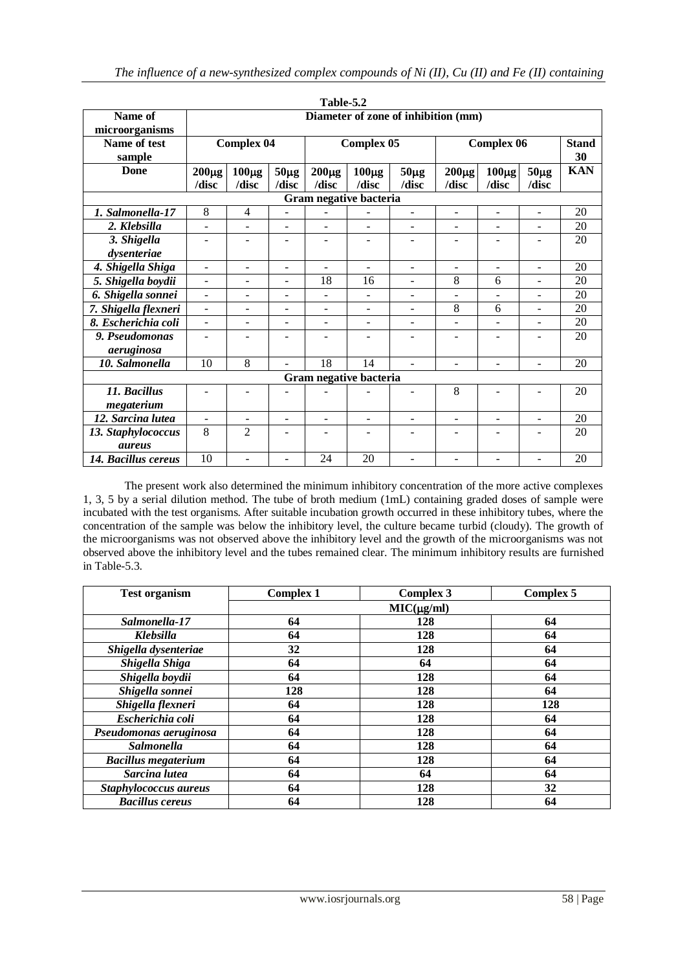|                        |                                     |                   |                          | Table-5.2                |                          |                          |                          |                          |                          |              |
|------------------------|-------------------------------------|-------------------|--------------------------|--------------------------|--------------------------|--------------------------|--------------------------|--------------------------|--------------------------|--------------|
| Name of                | Diameter of zone of inhibition (mm) |                   |                          |                          |                          |                          |                          |                          |                          |              |
| microorganisms         |                                     |                   |                          |                          |                          |                          |                          |                          |                          |              |
| Name of test           |                                     | <b>Complex 04</b> |                          |                          | <b>Complex 05</b>        |                          |                          | <b>Complex 06</b>        |                          | <b>Stand</b> |
| sample                 |                                     |                   |                          |                          |                          |                          |                          |                          |                          | 30           |
| <b>Done</b>            | $200 \mu g$                         | $100\mu g$        | $50\mu g$                | $200\mu g$               | $100\mu g$               | $50\mu g$                | $200\mu g$               | $100\mu g$               | $50\mu g$                | <b>KAN</b>   |
|                        | /disc                               | /disc             | /disc                    | /disc                    | /disc                    | /disc                    | /disc                    | /disc                    | /disc                    |              |
|                        |                                     |                   |                          |                          | Gram negative bacteria   |                          |                          |                          |                          |              |
| 1. Salmonella-17       | 8                                   | $\overline{4}$    | $\overline{\phantom{a}}$ | ۰                        |                          | $\blacksquare$           | $\blacksquare$           | $\blacksquare$           | $\blacksquare$           | 20           |
| 2. Klebsilla           | ÷,                                  | ÷                 | $\overline{\phantom{a}}$ | $\overline{\phantom{0}}$ | $\overline{\phantom{0}}$ | $\overline{a}$           | $\overline{\phantom{a}}$ |                          |                          | 20           |
| 3. Shigella            |                                     |                   |                          | L.                       | L.                       |                          |                          | $\blacksquare$           |                          | 20           |
| dysenteriae            |                                     |                   |                          |                          |                          |                          |                          |                          |                          |              |
| 4. Shigella Shiga      | $\sim$                              | ÷                 | $\overline{\phantom{a}}$ | $\overline{\phantom{0}}$ | $\blacksquare$           | $\overline{a}$           | $\overline{a}$           | $\sim$                   | $\blacksquare$           | 20           |
| 5. Shigella boydii     | $\blacksquare$                      | ۰                 | $\overline{\phantom{a}}$ | 18                       | 16                       | $\overline{a}$           | 8                        | 6                        |                          | 20           |
| 6. Shigella sonnei     | ÷.                                  |                   | $\overline{\phantom{a}}$ | -                        | $\overline{\phantom{a}}$ | $\overline{a}$           |                          |                          |                          | 20           |
| 7. Shigella flexneri   | $\overline{a}$                      | ÷                 | L.                       | $\overline{a}$           | $\overline{\phantom{a}}$ | $\sim$                   | 8                        | 6                        | ÷,                       | 20           |
| 8. Escherichia coli    | L.                                  | ÷                 | L.                       | $\overline{a}$           | $\overline{a}$           | $\mathbf{r}$             | L.                       | L.                       | $\overline{a}$           | 20           |
| 9. Pseudomonas         | $\blacksquare$                      | ۰                 | $\blacksquare$           | ۰                        | $\overline{\phantom{a}}$ | $\overline{\phantom{a}}$ | $\overline{\phantom{a}}$ | $\overline{\phantom{a}}$ | $\overline{\phantom{0}}$ | 20           |
| aeruginosa             |                                     |                   |                          |                          |                          |                          |                          |                          |                          |              |
| 10. Salmonella         | 10                                  | $\overline{8}$    | $\overline{a}$           | 18                       | 14                       | ÷.                       |                          |                          |                          | 20           |
| Gram negative bacteria |                                     |                   |                          |                          |                          |                          |                          |                          |                          |              |
| 11. Bacillus           |                                     |                   |                          |                          |                          | $\blacksquare$           | 8                        |                          | ÷                        | 20           |
| megaterium             |                                     |                   |                          |                          |                          |                          |                          |                          |                          |              |
| 12. Sarcina lutea      |                                     |                   | $\blacksquare$           | L,                       | $\overline{\phantom{a}}$ | $\overline{\phantom{a}}$ |                          |                          |                          | 20           |
| 13. Staphylococcus     | 8                                   | $\overline{2}$    |                          |                          |                          |                          |                          |                          |                          | 20           |
| <i>aureus</i>          |                                     |                   |                          |                          |                          |                          |                          |                          |                          |              |
| 14. Bacillus cereus    | 10                                  | ÷,                |                          | 24                       | 20                       | $\overline{a}$           |                          | $\overline{\phantom{a}}$ | $\overline{a}$           | 20           |

The present work also determined the minimum inhibitory concentration of the more active complexes 1, 3, 5 by a serial dilution method. The tube of broth medium (1mL) containing graded doses of sample were incubated with the test organisms. After suitable incubation growth occurred in these inhibitory tubes, where the concentration of the sample was below the inhibitory level, the culture became turbid (cloudy). The growth of the microorganisms was not observed above the inhibitory level and the growth of the microorganisms was not observed above the inhibitory level and the tubes remained clear. The minimum inhibitory results are furnished in Table-5.3.

| <b>Test organism</b>       | <b>Complex 1</b> | <b>Complex 3</b> | <b>Complex 5</b> |  |  |  |  |  |  |
|----------------------------|------------------|------------------|------------------|--|--|--|--|--|--|
|                            | $MIC(\mu g/ml)$  |                  |                  |  |  |  |  |  |  |
| Salmonella-17              | 64               | 128              | 64               |  |  |  |  |  |  |
| <b>Klebsilla</b>           | 64               | 128              | 64               |  |  |  |  |  |  |
| Shigella dysenteriae       | 32               | 128              | 64               |  |  |  |  |  |  |
| Shigella Shiga             | 64               | 64               | 64               |  |  |  |  |  |  |
| Shigella boydii            | 64               | 128              | 64               |  |  |  |  |  |  |
| Shigella sonnei            | 128              | 128              | 64               |  |  |  |  |  |  |
| Shigella flexneri          | 64               | 128              | 128              |  |  |  |  |  |  |
| Escherichia coli           | 64               | 128              | 64               |  |  |  |  |  |  |
| Pseudomonas aeruginosa     | 64               | 128              | 64               |  |  |  |  |  |  |
| <b>Salmonella</b>          | 64               | 128              | 64               |  |  |  |  |  |  |
| <b>Bacillus megaterium</b> | 64               | 128              | 64               |  |  |  |  |  |  |
| Sarcina lutea              | 64               | 64               | 64               |  |  |  |  |  |  |
| Staphylococcus aureus      | 64               | 128              | 32               |  |  |  |  |  |  |
| <b>Bacillus cereus</b>     | 64               | 128              | 64               |  |  |  |  |  |  |